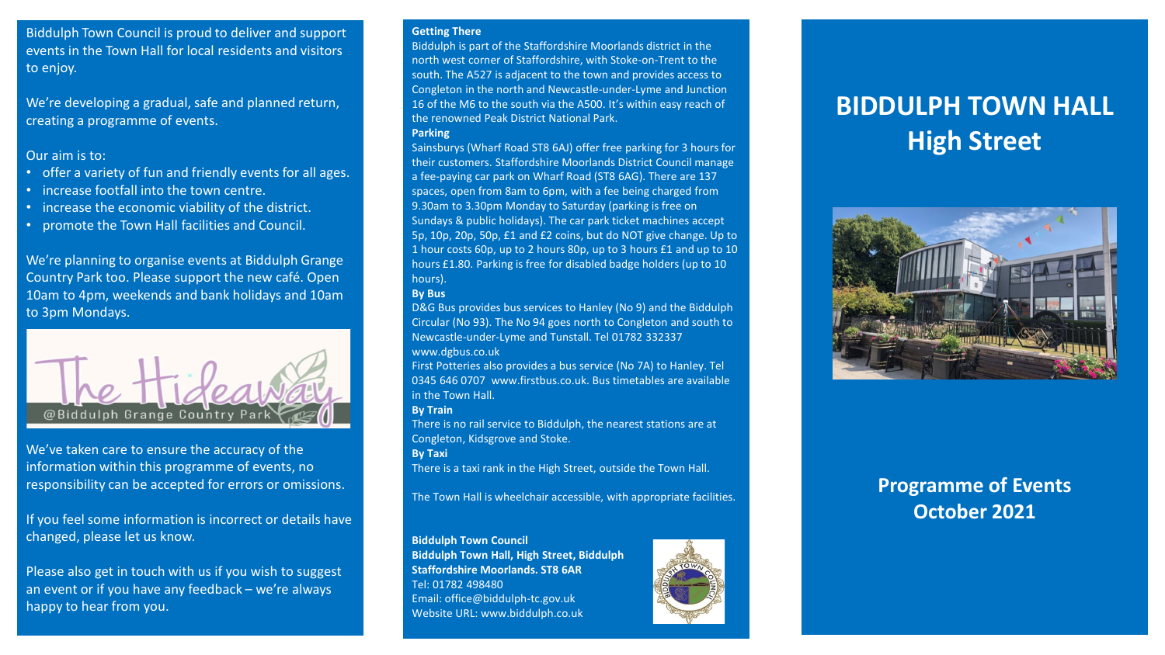Biddulph Town Council is proud to deliver and support events in the Town Hall for local residents and visitors to enjoy.

We're developing a gradual, safe and planned return, creating a programme of events.

#### Our aim is to:

- offer a variety of fun and friendly events for all ages.
- increase footfall into the town centre.
- increase the economic viability of the district.
- promote the Town Hall facilities and Council.

We're planning to organise events at Biddulph Grange Country Park too. Please support the new café. Open 10am to 4pm, weekends and bank holidays and 10am to 3pm Mondays.



We've taken care to ensure the accuracy of the information within this programme of events, no responsibility can be accepted for errors or omissions.

If you feel some information is incorrect or details have changed, please let us know.

Please also get in touch with us if you wish to suggest an event or if you have any feedback – we're always happy to hear from you.

#### **Getting There**

Biddulph is part of the Staffordshire Moorlands district in the north west corner of Staffordshire, with Stoke-on-Trent to the south. The A527 is adjacent to the town and provides access to Congleton in the north and Newcastle-under-Lyme and Junction 16 of the M6 to the south via the A500. It's within easy reach of the renowned Peak District National Park. **Parking** 

Sainsburys (Wharf Road ST8 6AJ) offer free parking for 3 hours for their customers. Staffordshire Moorlands District Council manage a fee-paying car park on Wharf Road (ST8 6AG). There are 137 spaces, open from 8am to 6pm, with a fee being charged from 9.30am to 3.30pm Monday to Saturday (parking is free on Sundays & public holidays). The car park ticket machines accept 5p, 10p, 20p, 50p, £1 and £2 coins, but do NOT give change. Up to 1 hour costs 60p, up to 2 hours 80p, up to 3 hours £1 and up to 10 hours £1.80. Parking is free for disabled badge holders (up to 10 hours).

## **By Bus**

D&G Bus provides bus services to Hanley (No 9) and the Biddulph Circular (No 93). The No 94 goes north to Congleton and south to Newcastle-under-Lyme and Tunstall. Tel 01782 332337 www.dgbus.co.uk

First Potteries also provides a bus service (No 7A) to Hanley. Tel 0345 646 0707 www.firstbus.co.uk. Bus timetables are available in the Town Hall.

#### **By Train**

There is no rail service to Biddulph, the nearest stations are at Congleton, Kidsgrove and Stoke.

**By Taxi** 

There is a taxi rank in the High Street, outside the Town Hall.

The Town Hall is wheelchair accessible, with appropriate facilities.

## **Biddulph Town Council**

**Biddulph Town Hall, High Street, Biddulph Staffordshire Moorlands. ST8 6AR**  Tel: 01782 498480 Email: office@biddulph-tc.gov.uk Website URL: www.biddulph.co.uk



# **BIDDULPH TOWN HALL High Street**



## **Programme of Events October 2021**